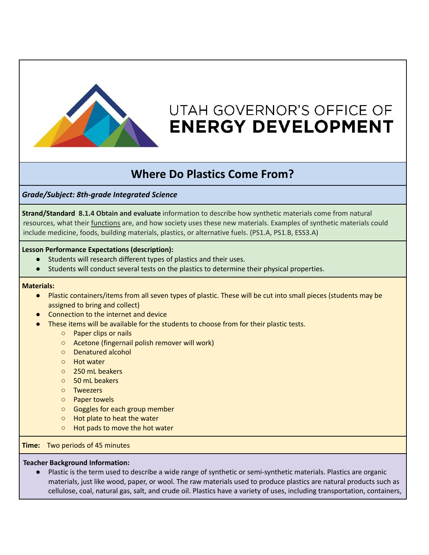

# UTAH GOVERNOR'S OFFICE OF **ENERGY DEVELOPMENT**

## **Where Do Plastics Come From?**

*Grade/Subject: 8th-grade Integrated Science*

**Strand/Standard 8.1.4 Obtain and evaluate** information to describe how synthetic materials come from natural resources, what their functions are, and how society uses these new materials. Examples of synthetic materials could include medicine, foods, building materials, plastics, or alternative fuels. (PS1.A, PS1.B, ESS3.A)

#### **Lesson Performance Expectations (description):**

- Students will research different types of plastics and their uses.
- Students will conduct several tests on the plastics to determine their physical properties.

#### **Materials:**

- Plastic containers/items from all seven types of plastic. These will be cut into small pieces (students may be assigned to bring and collect)
- **Connection to the internet and device**
- These items will be available for the students to choose from for their plastic tests.
	- Paper clips or nails
	- Acetone (fingernail polish remover will work)
	- Denatured alcohol
	- Hot water
	- 250 mL beakers
	- 50 mL beakers
	- Tweezers
	- Paper towels
	- Goggles for each group member
	- Hot plate to heat the water
	- Hot pads to move the hot water

#### **Time:** Two periods of 45 minutes

#### **Teacher Background Information:**

Plastic is the term used to describe a wide range of synthetic or semi-synthetic materials. Plastics are organic materials, just like wood, paper, or wool. The raw materials used to produce plastics are natural products such as cellulose, coal, natural gas, salt, and crude oil. Plastics have a variety of uses, including transportation, containers,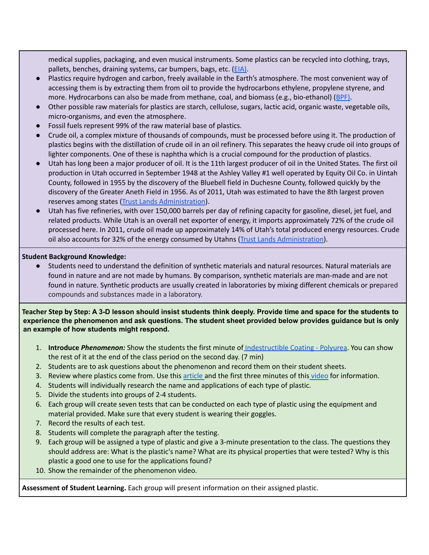medical supplies, packaging, and even musical instruments. Some plastics can be recycled into clothing, trays, pallets, benches, draining systems, car bumpers, bags, etc. [\(EIA\)](https://www.eia.gov/energyexplained/oil-and-petroleum-products/).

- Plastics require hydrogen and carbon, freely available in the Earth's atmosphere. The most convenient way of accessing them is by extracting them from oil to provide the hydrocarbons ethylene, propylene styrene, and more. Hydrocarbons can also be made from methane, coal, and biomass (e.g., bio-ethanol) ([BPF\).](https://www.bpf.co.uk/press/Oil_Consumption#:~:text=Most%20plastics%20are%20made%20from,are%20used%20in%20plastics%20production.)
- Other possible raw materials for plastics are starch, cellulose, sugars, lactic acid, organic waste, vegetable oils, micro-organisms, and even the atmosphere.
- Fossil fuels represent 99% of the raw material base of plastics.
- Crude oil, a complex mixture of thousands of compounds, must be processed before using it. The production of plastics begins with the distillation of crude oil in an oil refinery. This separates the heavy crude oil into groups of lighter components. One of these is naphtha which is a crucial compound for the production of plastics.
- Utah has long been a major producer of oil. It is the 11th largest producer of oil in the United States. The first oil production in Utah occurred in September 1948 at the Ashley Valley #1 well operated by Equity Oil Co. in Uintah County, followed in 1955 by the discovery of the Bluebell field in Duchesne County, followed quickly by the discovery of the Greater Aneth Field in 1956. As of 2011, Utah was estimated to have the 8th largest proven reserves among states (Trust Lands [Administration](https://trustlands.utah.gov/business-groups/oil-gas/learn-about-utah-oil-and-gas/)).
- Utah has five refineries, with over 150,000 barrels per day of refining capacity for gasoline, diesel, jet fuel, and related products. While Utah is an overall net exporter of energy, it imports approximately 72% of the crude oil processed here. In 2011, crude oil made up approximately 14% of Utah's total produced energy resources. Crude oil also accounts for 32% of the energy consumed by Utahns (Trust Lands [Administration](https://trustlands.utah.gov/business-groups/oil-gas/learn-about-utah-oil-and-gas/)).

#### **Student Background Knowledge:**

Students need to understand the definition of synthetic materials and natural resources. Natural materials are found in nature and are not made by humans. By comparison, synthetic materials are man-made and are not found in nature. Synthetic products are usually created in laboratories by mixing different chemicals or prepared compounds and substances made in a laboratory.

Teacher Step by Step: A 3-D lesson should insist students think deeply. Provide time and space for the students to **experience the phenomenon and ask questions. The student sheet provided below provides guidance but is only an example of how students might respond.**

- 1. **Introduce** *Phenomenon:* Show the students the first minute of [Indestructible](https://thewonderofscience.com/phenomenon/2018/7/9/indestructible-coating-polyurea) Coating Polyurea. You can show the rest of it at the end of the class period on the second day. (7 min)
- 2. Students are to ask questions about the phenomenon and record them on their student sheets.
- 3. Review where plastics come from. Use this [article](https://www.livescience.com/how-oil-is-turned-into-plastic.html) and the first three minutes of this [video](https://youtu.be/ggh0Ptk3VGE) for information.
- 4. Students will individually research the name and applications of each type of plastic.
- 5. Divide the students into groups of 2-4 students.
- 6. Each group will create seven tests that can be conducted on each type of plastic using the equipment and material provided. Make sure that every student is wearing their goggles.
- 7. Record the results of each test.
- 8. Students will complete the paragraph after the testing.
- 9. Each group will be assigned a type of plastic and give a 3-minute presentation to the class. The questions they should address are: What is the plastic's name? What are its physical properties that were tested? Why is this plastic a good one to use for the applications found?
- 10. Show the remainder of the phenomenon video.

**Assessment of Student Learning.** Each group will present information on their assigned plastic.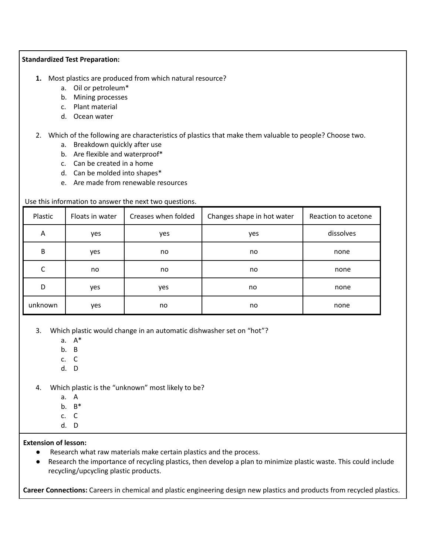#### **Standardized Test Preparation:**

- **1.** Most plastics are produced from which natural resource?
	- a. Oil or petroleum\*
	- b. Mining processes
	- c. Plant material
	- d. Ocean water
- 2. Which of the following are characteristics of plastics that make them valuable to people? Choose two.
	- a. Breakdown quickly after use
	- b. Are flexible and waterproof\*
	- c. Can be created in a home
	- d. Can be molded into shapes\*
	- e. Are made from renewable resources

#### Use this information to answer the next two questions.

| Plastic | Floats in water | Creases when folded | Changes shape in hot water | Reaction to acetone |
|---------|-----------------|---------------------|----------------------------|---------------------|
| A       | yes             | yes                 | yes                        | dissolves           |
| B       | yes             | no                  | no                         | none                |
| С       | no              | no                  | no                         | none                |
| D       | yes             | yes                 | no                         | none                |
| unknown | yes             | no                  | no                         | none                |

3. Which plastic would change in an automatic dishwasher set on "hot"?

- a. A\*
- b. B
- c. C
- d. D
- 4. Which plastic is the "unknown" most likely to be?
	- a. A
	- b. B\*
	- c. C
	- d. D

#### **Extension of lesson:**

- Research what raw materials make certain plastics and the process.
- Research the importance of recycling plastics, then develop a plan to minimize plastic waste. This could include recycling/upcycling plastic products.

**Career Connections:** Careers in chemical and plastic engineering design new plastics and products from recycled plastics.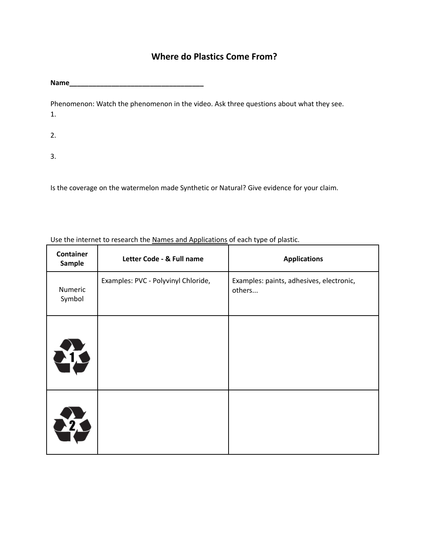### **Where do Plastics Come From?**

**Name\_\_\_\_\_\_\_\_\_\_\_\_\_\_\_\_\_\_\_\_\_\_\_\_\_\_\_\_\_\_\_\_\_\_\_**

Phenomenon: Watch the phenomenon in the video. Ask three questions about what they see. 1.

- 2.
- 3.

Is the coverage on the watermelon made Synthetic or Natural? Give evidence for your claim.

Use the internet to research the Names and Applications of each type of plastic.

| <b>Container</b><br>Sample | Letter Code - & Full name           | <b>Applications</b>                                |
|----------------------------|-------------------------------------|----------------------------------------------------|
| Numeric<br>Symbol          | Examples: PVC - Polyvinyl Chloride, | Examples: paints, adhesives, electronic,<br>others |
| <b>MC</b>                  |                                     |                                                    |
| <b>MT</b>                  |                                     |                                                    |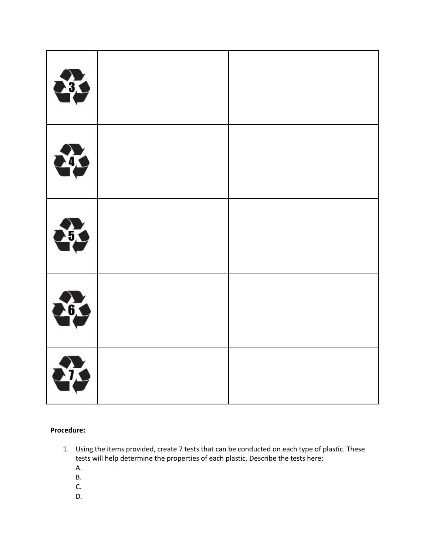| 33            |  |
|---------------|--|
| 43            |  |
| $\frac{1}{2}$ |  |
| 63            |  |
| <b>ATA</b>    |  |

**Procedure:**

- 1. Using the items provided, create 7 tests that can be conducted on each type of plastic. These tests will help determine the properties of each plastic. Describe the tests here:
	- A.
	- B.
	- C.
	- D.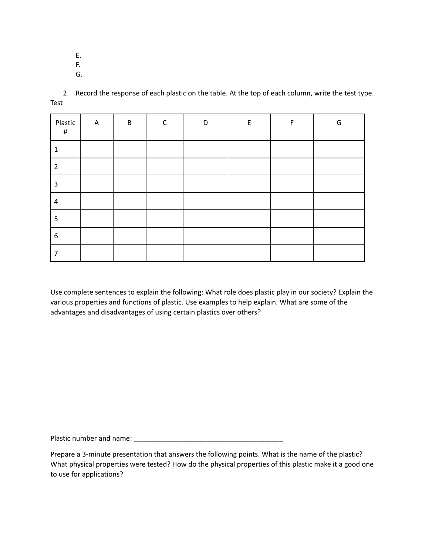E.

- F.
- G.

2. Record the response of each plastic on the table. At the top of each column, write the test type. Test

| Plastic<br>$\#$ | $\mathsf{A}$ | $\sf B$ | $\mathsf{C}$ | D | $\mathsf E$ | F | G |
|-----------------|--------------|---------|--------------|---|-------------|---|---|
| 1               |              |         |              |   |             |   |   |
| $\overline{2}$  |              |         |              |   |             |   |   |
| 3               |              |         |              |   |             |   |   |
| 4               |              |         |              |   |             |   |   |
| 5               |              |         |              |   |             |   |   |
| 6               |              |         |              |   |             |   |   |
| 7               |              |         |              |   |             |   |   |

Use complete sentences to explain the following: What role does plastic play in our society? Explain the various properties and functions of plastic. Use examples to help explain. What are some of the advantages and disadvantages of using certain plastics over others?

Plastic number and name: \_\_\_\_\_\_\_\_\_\_\_\_\_\_\_\_\_\_\_\_\_\_\_\_\_\_\_\_\_\_\_\_\_\_\_\_\_\_\_

Prepare a 3-minute presentation that answers the following points. What is the name of the plastic? What physical properties were tested? How do the physical properties of this plastic make it a good one to use for applications?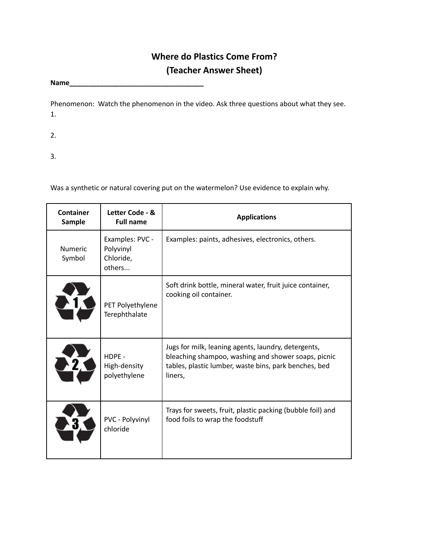## **Where do Plastics Come From? (Teacher Answer Sheet)**

**Name\_\_\_\_\_\_\_\_\_\_\_\_\_\_\_\_\_\_\_\_\_\_\_\_\_\_\_\_\_\_\_\_\_\_\_**

Phenomenon: Watch the phenomenon in the video. Ask three questions about what they see. 1.

2.

3.

Was a synthetic or natural covering put on the watermelon? Use evidence to explain why.

| Container<br>Letter Code - &<br>Sample<br><b>Full name</b> |                                                     | <b>Applications</b>                                                                                                                                                            |  |  |
|------------------------------------------------------------|-----------------------------------------------------|--------------------------------------------------------------------------------------------------------------------------------------------------------------------------------|--|--|
| <b>Numeric</b><br>Symbol                                   | Examples: PVC -<br>Polyvinyl<br>Chloride,<br>others | Examples: paints, adhesives, electronics, others.                                                                                                                              |  |  |
| PET Polyethylene<br>Terephthalate                          |                                                     | Soft drink bottle, mineral water, fruit juice container,<br>cooking oil container.                                                                                             |  |  |
|                                                            | HDPE -<br>High-density<br>polyethylene              | Jugs for milk, leaning agents, laundry, detergents,<br>bleaching shampoo, washing and shower soaps, picnic<br>tables, plastic lumber, waste bins, park benches, bed<br>liners, |  |  |
|                                                            | PVC - Polyvinyl<br>chloride                         | Trays for sweets, fruit, plastic packing (bubble foil) and<br>food foils to wrap the foodstuff                                                                                 |  |  |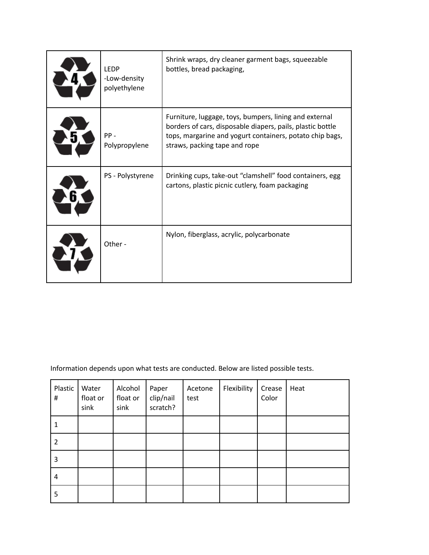| <b>LEDP</b><br>-Low-density<br>polyethylene | Shrink wraps, dry cleaner garment bags, squeezable<br>bottles, bread packaging,                                                                                                                                   |
|---------------------------------------------|-------------------------------------------------------------------------------------------------------------------------------------------------------------------------------------------------------------------|
| $PP -$<br>Polypropylene                     | Furniture, luggage, toys, bumpers, lining and external<br>borders of cars, disposable diapers, pails, plastic bottle<br>tops, margarine and yogurt containers, potato chip bags,<br>straws, packing tape and rope |
| PS - Polystyrene                            | Drinking cups, take-out "clamshell" food containers, egg<br>cartons, plastic picnic cutlery, foam packaging                                                                                                       |
| Other -                                     | Nylon, fiberglass, acrylic, polycarbonate                                                                                                                                                                         |

Information depends upon what tests are conducted. Below are listed possible tests.

| Plastic<br>$\#$ | Water<br>float or<br>sink | Alcohol<br>float or<br>sink | Paper<br>clip/nail<br>scratch? | Acetone<br>test | Flexibility | Crease<br>Color | Heat |
|-----------------|---------------------------|-----------------------------|--------------------------------|-----------------|-------------|-----------------|------|
| 1               |                           |                             |                                |                 |             |                 |      |
| 2               |                           |                             |                                |                 |             |                 |      |
| 3               |                           |                             |                                |                 |             |                 |      |
| 4               |                           |                             |                                |                 |             |                 |      |
| 5               |                           |                             |                                |                 |             |                 |      |